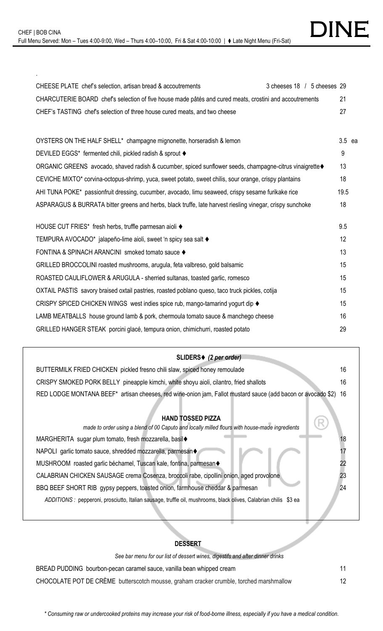.

| CHEESE PLATE chef's selection, artisan bread & accoutrements<br>3 cheeses 18 / 5 cheeses 29               |          |  |
|-----------------------------------------------------------------------------------------------------------|----------|--|
| CHARCUTERIE BOARD chef's selection of five house made pâtés and cured meats, crostini and accoutrements   | 21       |  |
| CHEF's TASTING chef's selection of three house cured meats, and two cheese                                | 27       |  |
|                                                                                                           |          |  |
| OYSTERS ON THE HALF SHELL* champagne mignonette, horseradish & lemon                                      | $3.5$ ea |  |
| DEVILED EGGS* fermented chili, pickled radish & sprout ♦                                                  | 9        |  |
| ORGANIC GREENS avocado, shaved radish & cucumber, spiced sunflower seeds, champagne-citrus vinaigrette♦   | 13       |  |
| CEVICHE MIXTO* corvina-octopus-shrimp, yuca, sweet potato, sweet chilis, sour orange, crispy plantains    | 18       |  |
| AHI TUNA POKE* passionfruit dressing, cucumber, avocado, limu seaweed, crispy sesame furikake rice        | 19.5     |  |
| ASPARAGUS & BURRATA bitter greens and herbs, black truffe, late harvest riesling vinegar, crispy sunchoke | 18       |  |
|                                                                                                           |          |  |
| HOUSE CUT FRIES* fresh herbs, truffle parmesan aioli ♦                                                    | 9.5      |  |
| TEMPURA AVOCADO* jalapeño-lime aioli, sweet 'n spicy sea salt ♦                                           | 12       |  |
| FONTINA & SPINACH ARANCINI smoked tomato sauce ♦                                                          | 13       |  |
| GRILLED BROCCOLINI roasted mushrooms, arugula, feta valbreso, gold balsamic                               | 15       |  |
| ROASTED CAULIFLOWER & ARUGULA - sherried sultanas, toasted garlic, romesco                                | 15       |  |
| OXTAIL PASTIS savory braised oxtail pastries, roasted poblano queso, taco truck pickles, cotija           | 15       |  |
| CRISPY SPICED CHICKEN WINGS west indies spice rub, mango-tamarind yogurt dip ♦                            | 15       |  |
| LAMB MEATBALLS house ground lamb & pork, chermoula tomato sauce & manchego cheese                         | 16       |  |
| GRILLED HANGER STEAK porcini glacé, tempura onion, chimichurri, roasted potato                            | 29       |  |
|                                                                                                           |          |  |

## **SLIDERS**⧫ *(2 per order)*

| BUTTERMILK FRIED CHICKEN pickled fresno chili slaw, spiced honey remoulade                                      |    |
|-----------------------------------------------------------------------------------------------------------------|----|
| CRISPY SMOKED PORK BELLY pineapple kimchi, white shoyu aioli, cilantro, fried shallots                          | 16 |
| RED LODGE MONTANA BEEF* artisan cheeses, red wine-onion jam, Fallot mustard sauce (add bacon or avocado \$2) 16 |    |

## **HAND TOSSED PIZZA**

| made to order using a blend of 00 Caputo and locally milled flours with house-made ingredients                   |    |
|------------------------------------------------------------------------------------------------------------------|----|
| MARGHERITA sugar plum tomato, fresh mozzarella, basil <sup>+</sup>                                               |    |
| NAPOLI garlic tomato sauce, shredded mozzarella, parmesan+                                                       |    |
| MUSHROOM roasted garlic béchamel, Tuscan kale, fontina, parmesan♦                                                |    |
| CALABRIAN CHICKEN SAUSAGE crema Cosenza, broccoli rabe, cipollini onion, aged provolone                          |    |
| BBQ BEEF SHORT RIB gypsy peppers, toasted onion, farmhouse cheddar & parmesan                                    | 24 |
| ADDITIONS: pepperoni, prosciutto, Italian sausage, truffle oil, mushrooms, black olives, Calabrian chilis \$3 ea |    |
|                                                                                                                  |    |

## **DESSERT**

| <b>DESSERT</b>                                                                          |    |
|-----------------------------------------------------------------------------------------|----|
| See bar menu for our list of dessert wines, digestifs and after dinner drinks           |    |
| BREAD PUDDING bourbon-pecan caramel sauce, vanilla bean whipped cream                   | 11 |
| CHOCOLATE POT DE CRÈME butterscotch mousse, graham cracker crumble, torched marshmallow | 12 |

*\* Consuming raw or undercooked proteins may increase your risk of food-borne illness, especially if you have a medical condition.*